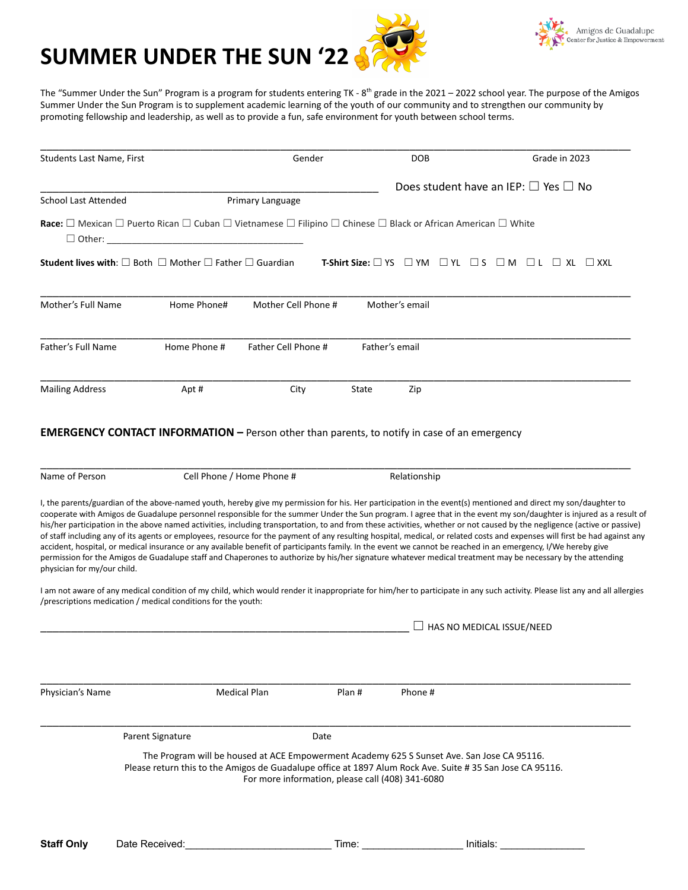



The "Summer Under the Sun" Program is a program for students entering TK - 8<sup>th</sup> grade in the 2021 – 2022 school year. The purpose of the Amigos Summer Under the Sun Program is to supplement academic learning of the youth of our community and to strengthen our community by promoting fellowship and leadership, as well as to provide a fun, safe environment for youth between school terms.

|                                                                                                                                                                                                                                |                           | Gender              |       | <b>DOB</b>     |                                  | Grade in 2023                                                                                                                                                                                                                                                                                                                                                                                                                                                                                                                 |
|--------------------------------------------------------------------------------------------------------------------------------------------------------------------------------------------------------------------------------|---------------------------|---------------------|-------|----------------|----------------------------------|-------------------------------------------------------------------------------------------------------------------------------------------------------------------------------------------------------------------------------------------------------------------------------------------------------------------------------------------------------------------------------------------------------------------------------------------------------------------------------------------------------------------------------|
|                                                                                                                                                                                                                                |                           |                     |       |                |                                  | Does student have an IEP: $\square$ Yes $\square$ No                                                                                                                                                                                                                                                                                                                                                                                                                                                                          |
| School Last Attended                                                                                                                                                                                                           |                           | Primary Language    |       |                |                                  |                                                                                                                                                                                                                                                                                                                                                                                                                                                                                                                               |
| <b>Race:</b> $\Box$ Mexican $\Box$ Puerto Rican $\Box$ Cuban $\Box$ Vietnamese $\Box$ Filipino $\Box$ Chinese $\Box$ Black or African American $\Box$ White<br>$\Box$ Other:                                                   |                           |                     |       |                |                                  |                                                                                                                                                                                                                                                                                                                                                                                                                                                                                                                               |
| <b>Student lives with:</b> $\square$ Both $\square$ Mother $\square$ Father $\square$ Guardian                                                                                                                                 |                           |                     |       |                |                                  | <b>T-Shirt Size:</b> $\Box$ YS $\Box$ YM $\Box$ YL $\Box$ S $\Box$ M $\Box$ L $\Box$ XL $\Box$ XXL                                                                                                                                                                                                                                                                                                                                                                                                                            |
| Mother's Full Name                                                                                                                                                                                                             | Home Phone#               | Mother Cell Phone # |       | Mother's email |                                  |                                                                                                                                                                                                                                                                                                                                                                                                                                                                                                                               |
| Father's Full Name                                                                                                                                                                                                             | Home Phone #              | Father Cell Phone # |       | Father's email |                                  |                                                                                                                                                                                                                                                                                                                                                                                                                                                                                                                               |
| <b>Mailing Address</b>                                                                                                                                                                                                         | Apt#                      | City                | State | Zip            |                                  |                                                                                                                                                                                                                                                                                                                                                                                                                                                                                                                               |
| Name of Person                                                                                                                                                                                                                 | Cell Phone / Home Phone # |                     |       | Relationship   |                                  |                                                                                                                                                                                                                                                                                                                                                                                                                                                                                                                               |
| I, the parents/guardian of the above-named youth, hereby give my permission for his. Her participation in the event(s) mentioned and direct my son/daughter to                                                                 |                           |                     |       |                |                                  |                                                                                                                                                                                                                                                                                                                                                                                                                                                                                                                               |
| permission for the Amigos de Guadalupe staff and Chaperones to authorize by his/her signature whatever medical treatment may be necessary by the attending<br>physician for my/our child.                                      |                           |                     |       |                |                                  | cooperate with Amigos de Guadalupe personnel responsible for the summer Under the Sun program. I agree that in the event my son/daughter is injured as a result of<br>his/her participation in the above named activities, including transportation, to and from these activities, whether or not caused by the negligence (active or passive)<br>of staff including any of its agents or employees, resource for the payment of any resulting hospital, medical, or related costs and expenses will first be had against any |
| accident, hospital, or medical insurance or any available benefit of participants family. In the event we cannot be reached in an emergency, I/We hereby give<br>/prescriptions medication / medical conditions for the youth: |                           |                     |       |                |                                  | I am not aware of any medical condition of my child, which would render it inappropriate for him/her to participate in any such activity. Please list any and all allergies                                                                                                                                                                                                                                                                                                                                                   |
|                                                                                                                                                                                                                                |                           |                     |       |                | $\Box$ has no medical issue/need |                                                                                                                                                                                                                                                                                                                                                                                                                                                                                                                               |

\_\_\_\_\_\_\_\_\_\_\_\_\_\_\_\_\_\_\_\_\_\_\_\_\_\_\_\_\_\_\_\_\_\_\_\_\_\_\_\_\_\_\_\_\_\_\_\_\_\_\_\_\_\_\_\_\_\_\_\_\_\_\_\_\_\_\_\_\_\_\_\_\_\_\_\_\_\_\_\_\_\_\_\_\_\_\_\_\_\_\_\_\_\_\_\_ Parent Signature Date

The Program will be housed at ACE Empowerment Academy 625 S Sunset Ave. San Jose CA 95116. Please return this to the Amigos de Guadalupe office at 1897 Alum Rock Ave. Suite # 35 San Jose CA 95116. For more information, please call (408) 341-6080